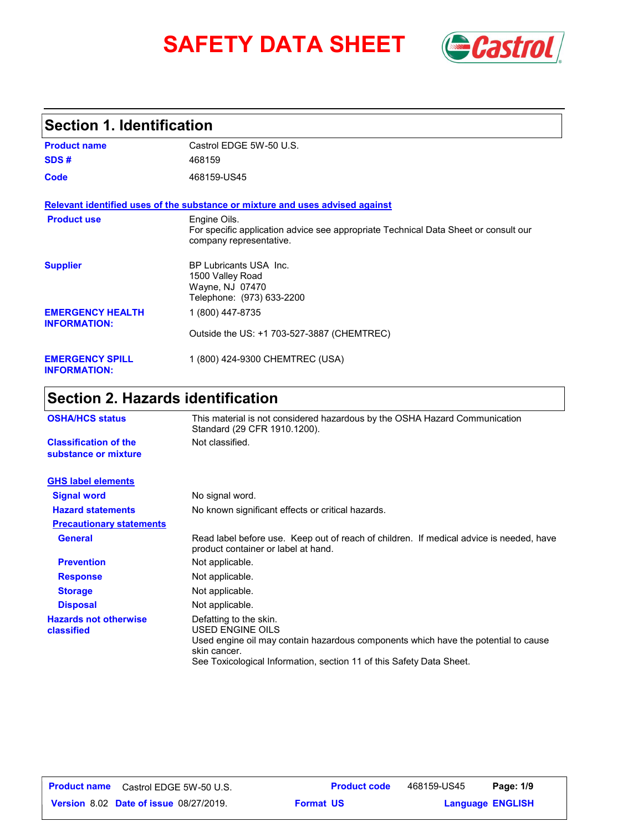# **SAFETY DATA SHEET** *Castrol*



## **Section 1. Identification**

| <b>Product name</b>                            | Castrol EDGE 5W-50 U.S.                                                                                                        |
|------------------------------------------------|--------------------------------------------------------------------------------------------------------------------------------|
| SDS#                                           | 468159                                                                                                                         |
| Code                                           | 468159-US45                                                                                                                    |
|                                                | Relevant identified uses of the substance or mixture and uses advised against                                                  |
| <b>Product use</b>                             | Engine Oils.<br>For specific application advice see appropriate Technical Data Sheet or consult our<br>company representative. |
| <b>Supplier</b>                                | BP Lubricants USA Inc.<br>1500 Valley Road<br>Wayne, NJ 07470<br>Telephone: (973) 633-2200                                     |
| <b>EMERGENCY HEALTH</b><br><b>INFORMATION:</b> | 1 (800) 447-8735                                                                                                               |
|                                                | Outside the US: +1 703-527-3887 (CHEMTREC)                                                                                     |
| <b>EMERGENCY SPILL</b><br><b>INFORMATION:</b>  | 1 (800) 424-9300 CHEMTREC (USA)                                                                                                |

## **Section 2. Hazards identification**

| <b>OSHA/HCS status</b>                               | This material is not considered hazardous by the OSHA Hazard Communication<br>Standard (29 CFR 1910.1200).                                                                                                                      |  |
|------------------------------------------------------|---------------------------------------------------------------------------------------------------------------------------------------------------------------------------------------------------------------------------------|--|
| <b>Classification of the</b><br>substance or mixture | Not classified.                                                                                                                                                                                                                 |  |
| <b>GHS label elements</b>                            |                                                                                                                                                                                                                                 |  |
| <b>Signal word</b>                                   | No signal word.                                                                                                                                                                                                                 |  |
| <b>Hazard statements</b>                             | No known significant effects or critical hazards.                                                                                                                                                                               |  |
| <b>Precautionary statements</b>                      |                                                                                                                                                                                                                                 |  |
| <b>General</b>                                       | Read label before use. Keep out of reach of children. If medical advice is needed, have<br>product container or label at hand.                                                                                                  |  |
| <b>Prevention</b>                                    | Not applicable.                                                                                                                                                                                                                 |  |
| <b>Response</b>                                      | Not applicable.                                                                                                                                                                                                                 |  |
| <b>Storage</b>                                       | Not applicable.                                                                                                                                                                                                                 |  |
| <b>Disposal</b>                                      | Not applicable.                                                                                                                                                                                                                 |  |
| <b>Hazards not otherwise</b><br>classified           | Defatting to the skin.<br><b>USED ENGINE OILS</b><br>Used engine oil may contain hazardous components which have the potential to cause<br>skin cancer.<br>See Toxicological Information, section 11 of this Safety Data Sheet. |  |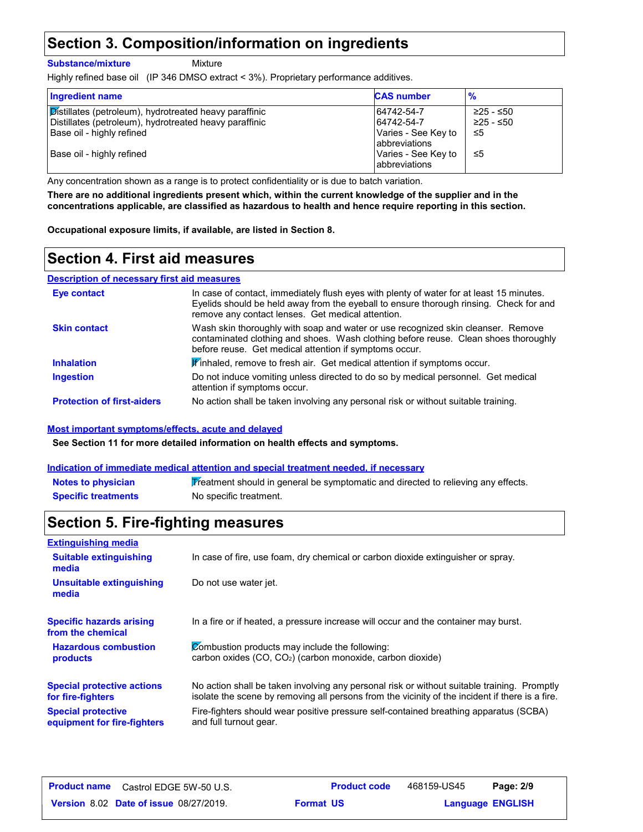## **Section 3. Composition/information on ingredients**

**Substance/mixture**

Mixture

Highly refined base oil (IP 346 DMSO extract < 3%). Proprietary performance additives.

| <b>Ingredient name</b>                                                                                           | <b>CAS number</b>                     | $\frac{9}{6}$          |
|------------------------------------------------------------------------------------------------------------------|---------------------------------------|------------------------|
| Distillates (petroleum), hydrotreated heavy paraffinic<br>Distillates (petroleum), hydrotreated heavy paraffinic | 64742-54-7<br>64742-54-7              | ≥25 - ≤50<br>≥25 - ≤50 |
| Base oil - highly refined                                                                                        | Varies - See Key to<br>abbreviations  | -≤5                    |
| Base oil - highly refined                                                                                        | Varies - See Key to<br>labbreviations | -≤5                    |

Any concentration shown as a range is to protect confidentiality or is due to batch variation.

**There are no additional ingredients present which, within the current knowledge of the supplier and in the concentrations applicable, are classified as hazardous to health and hence require reporting in this section.**

**Occupational exposure limits, if available, are listed in Section 8.**

## **Section 4. First aid measures**

#### **Description of necessary first aid measures**

| Eye contact                       | In case of contact, immediately flush eyes with plenty of water for at least 15 minutes.<br>Evelids should be held away from the eyeball to ensure thorough rinsing. Check for and<br>remove any contact lenses. Get medical attention. |
|-----------------------------------|-----------------------------------------------------------------------------------------------------------------------------------------------------------------------------------------------------------------------------------------|
| <b>Skin contact</b>               | Wash skin thoroughly with soap and water or use recognized skin cleanser. Remove<br>contaminated clothing and shoes. Wash clothing before reuse. Clean shoes thoroughly<br>before reuse. Get medical attention if symptoms occur.       |
| <b>Inhalation</b>                 | Finhaled, remove to fresh air. Get medical attention if symptoms occur.                                                                                                                                                                 |
| <b>Ingestion</b>                  | Do not induce vomiting unless directed to do so by medical personnel. Get medical<br>attention if symptoms occur.                                                                                                                       |
| <b>Protection of first-aiders</b> | No action shall be taken involving any personal risk or without suitable training.                                                                                                                                                      |

#### **Most important symptoms/effects, acute and delayed**

**See Section 11 for more detailed information on health effects and symptoms.**

#### **Indication of immediate medical attention and special treatment needed, if necessary**

| <b>Notes to physician</b>  | Treatment should in general be symptomatic and directed to relieving any effects. |
|----------------------------|-----------------------------------------------------------------------------------|
| <b>Specific treatments</b> | No specific treatment.                                                            |

## **Section 5. Fire-fighting measures**

| <b>Extinguishing media</b>                                                                                                                               |                                                                                                                                                                                                |  |  |
|----------------------------------------------------------------------------------------------------------------------------------------------------------|------------------------------------------------------------------------------------------------------------------------------------------------------------------------------------------------|--|--|
| <b>Suitable extinguishing</b><br>In case of fire, use foam, dry chemical or carbon dioxide extinguisher or spray.<br>media                               |                                                                                                                                                                                                |  |  |
| Unsuitable extinguishing<br>media                                                                                                                        | Do not use water jet.                                                                                                                                                                          |  |  |
| <b>Specific hazards arising</b><br>from the chemical                                                                                                     | In a fire or if heated, a pressure increase will occur and the container may burst.                                                                                                            |  |  |
| Combustion products may include the following:<br><b>Hazardous combustion</b><br>carbon oxides $(CO, CO2)$ (carbon monoxide, carbon dioxide)<br>products |                                                                                                                                                                                                |  |  |
| <b>Special protective actions</b><br>for fire-fighters                                                                                                   | No action shall be taken involving any personal risk or without suitable training. Promptly<br>isolate the scene by removing all persons from the vicinity of the incident if there is a fire. |  |  |
| <b>Special protective</b><br>equipment for fire-fighters                                                                                                 | Fire-fighters should wear positive pressure self-contained breathing apparatus (SCBA)<br>and full turnout gear.                                                                                |  |  |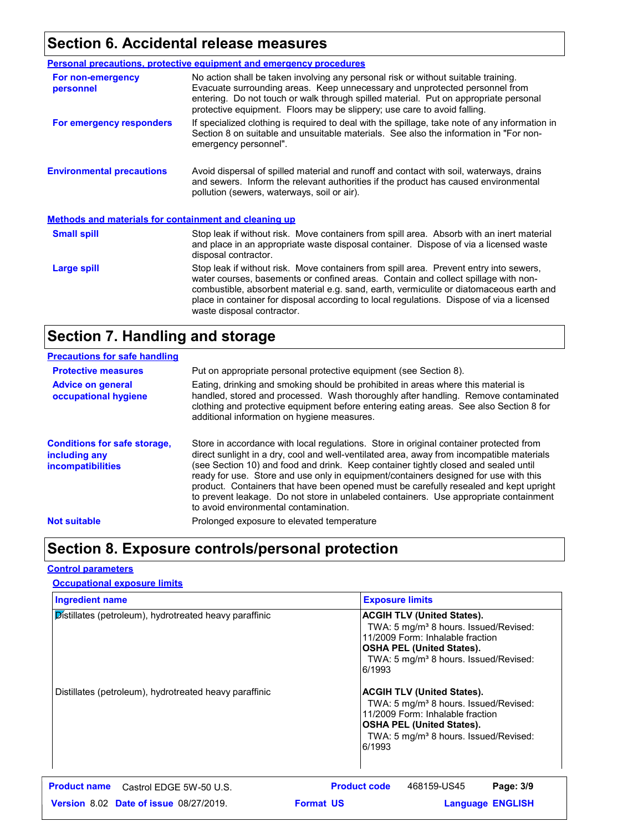## **Section 6. Accidental release measures**

|                                                              | <b>Personal precautions, protective equipment and emergency procedures</b>                                                                                                                                                                                                                                                                                                                         |  |
|--------------------------------------------------------------|----------------------------------------------------------------------------------------------------------------------------------------------------------------------------------------------------------------------------------------------------------------------------------------------------------------------------------------------------------------------------------------------------|--|
| For non-emergency<br>personnel                               | No action shall be taken involving any personal risk or without suitable training.<br>Evacuate surrounding areas. Keep unnecessary and unprotected personnel from<br>entering. Do not touch or walk through spilled material. Put on appropriate personal<br>protective equipment. Floors may be slippery; use care to avoid falling.                                                              |  |
| For emergency responders                                     | If specialized clothing is required to deal with the spillage, take note of any information in<br>Section 8 on suitable and unsuitable materials. See also the information in "For non-<br>emergency personnel".                                                                                                                                                                                   |  |
| <b>Environmental precautions</b>                             | Avoid dispersal of spilled material and runoff and contact with soil, waterways, drains<br>and sewers. Inform the relevant authorities if the product has caused environmental<br>pollution (sewers, waterways, soil or air).                                                                                                                                                                      |  |
| <b>Methods and materials for containment and cleaning up</b> |                                                                                                                                                                                                                                                                                                                                                                                                    |  |
| <b>Small spill</b>                                           | Stop leak if without risk. Move containers from spill area. Absorb with an inert material<br>and place in an appropriate waste disposal container. Dispose of via a licensed waste<br>disposal contractor.                                                                                                                                                                                         |  |
| Large spill                                                  | Stop leak if without risk. Move containers from spill area. Prevent entry into sewers,<br>water courses, basements or confined areas. Contain and collect spillage with non-<br>combustible, absorbent material e.g. sand, earth, vermiculite or diatomaceous earth and<br>place in container for disposal according to local regulations. Dispose of via a licensed<br>waste disposal contractor. |  |

## **Section 7. Handling and storage**

| <b>Precautions for safe handling</b>                                             |                                                                                                                                                                                                                                                                                                                                                                                                                                                                                                                                                                                               |
|----------------------------------------------------------------------------------|-----------------------------------------------------------------------------------------------------------------------------------------------------------------------------------------------------------------------------------------------------------------------------------------------------------------------------------------------------------------------------------------------------------------------------------------------------------------------------------------------------------------------------------------------------------------------------------------------|
| <b>Protective measures</b>                                                       | Put on appropriate personal protective equipment (see Section 8).                                                                                                                                                                                                                                                                                                                                                                                                                                                                                                                             |
| <b>Advice on general</b><br>occupational hygiene                                 | Eating, drinking and smoking should be prohibited in areas where this material is<br>handled, stored and processed. Wash thoroughly after handling. Remove contaminated<br>clothing and protective equipment before entering eating areas. See also Section 8 for<br>additional information on hygiene measures.                                                                                                                                                                                                                                                                              |
| <b>Conditions for safe storage,</b><br>including any<br><i>incompatibilities</i> | Store in accordance with local regulations. Store in original container protected from<br>direct sunlight in a dry, cool and well-ventilated area, away from incompatible materials<br>(see Section 10) and food and drink. Keep container tightly closed and sealed until<br>ready for use. Store and use only in equipment/containers designed for use with this<br>product. Containers that have been opened must be carefully resealed and kept upright<br>to prevent leakage. Do not store in unlabeled containers. Use appropriate containment<br>to avoid environmental contamination. |
| <b>Not suitable</b>                                                              | Prolonged exposure to elevated temperature                                                                                                                                                                                                                                                                                                                                                                                                                                                                                                                                                    |

## **Section 8. Exposure controls/personal protection**

#### **Control parameters**

#### **Occupational exposure limits**

| <b>Ingredient name</b>                                 | <b>Exposure limits</b>                                                                                                                                                                                                                                                                                                                                                                                                                                         |  |
|--------------------------------------------------------|----------------------------------------------------------------------------------------------------------------------------------------------------------------------------------------------------------------------------------------------------------------------------------------------------------------------------------------------------------------------------------------------------------------------------------------------------------------|--|
| Distillates (petroleum), hydrotreated heavy paraffinic | <b>ACGIH TLV (United States).</b><br>TWA: 5 mg/m <sup>3</sup> 8 hours. Issued/Revised:<br>11/2009 Form: Inhalable fraction<br><b>OSHA PEL (United States).</b><br>TWA: 5 mg/m <sup>3</sup> 8 hours. Issued/Revised:<br>6/1993<br><b>ACGIH TLV (United States).</b><br>TWA: 5 mg/m <sup>3</sup> 8 hours. Issued/Revised:<br>11/2009 Form: Inhalable fraction<br><b>OSHA PEL (United States).</b><br>TWA: 5 mg/m <sup>3</sup> 8 hours. Issued/Revised:<br>6/1993 |  |
| Distillates (petroleum), hydrotreated heavy paraffinic |                                                                                                                                                                                                                                                                                                                                                                                                                                                                |  |
| <b>Product name</b><br>Castrol EDGE 5W-50 U.S.         | <b>Product code</b><br>Page: 3/9<br>468159-US45                                                                                                                                                                                                                                                                                                                                                                                                                |  |
| <b>Version 8.02 Date of issue 08/27/2019.</b>          | <b>Format US</b><br><b>Language ENGLISH</b>                                                                                                                                                                                                                                                                                                                                                                                                                    |  |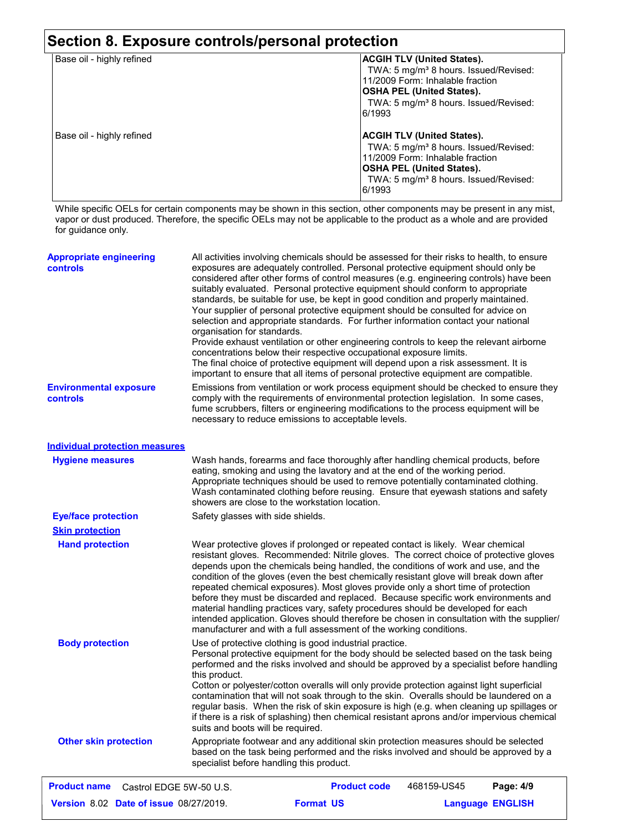## **Section 8. Exposure controls/personal protection**

| Base oil - highly refined | ACGIH TLV (United States).<br>TWA: 5 mg/m <sup>3</sup> 8 hours. Issued/Revised: |
|---------------------------|---------------------------------------------------------------------------------|
|                           | 11/2009 Form: Inhalable fraction                                                |
|                           | OSHA PEL (United States).                                                       |
|                           | TWA: 5 mg/m <sup>3</sup> 8 hours. Issued/Revised:                               |
|                           | 6/1993                                                                          |
| Base oil - highly refined | ACGIH TLV (United States).                                                      |
|                           | TWA: 5 mg/m <sup>3</sup> 8 hours. Issued/Revised:                               |
|                           | 11/2009 Form: Inhalable fraction                                                |
|                           | OSHA PEL (United States).                                                       |
|                           | TWA: 5 mg/m <sup>3</sup> 8 hours. Issued/Revised:                               |
|                           | 6/1993                                                                          |
|                           |                                                                                 |

While specific OELs for certain components may be shown in this section, other components may be present in any mist, vapor or dust produced. Therefore, the specific OELs may not be applicable to the product as a whole and are provided for guidance only.

| <b>Appropriate engineering</b><br>controls     | All activities involving chemicals should be assessed for their risks to health, to ensure<br>exposures are adequately controlled. Personal protective equipment should only be<br>considered after other forms of control measures (e.g. engineering controls) have been                                                                                                                                                                                                                                                                                                                                                                                                                                                                                                                     |                                                                                                                                                                                                                                                                                                                                                                                                 |             |                         |
|------------------------------------------------|-----------------------------------------------------------------------------------------------------------------------------------------------------------------------------------------------------------------------------------------------------------------------------------------------------------------------------------------------------------------------------------------------------------------------------------------------------------------------------------------------------------------------------------------------------------------------------------------------------------------------------------------------------------------------------------------------------------------------------------------------------------------------------------------------|-------------------------------------------------------------------------------------------------------------------------------------------------------------------------------------------------------------------------------------------------------------------------------------------------------------------------------------------------------------------------------------------------|-------------|-------------------------|
|                                                | organisation for standards.                                                                                                                                                                                                                                                                                                                                                                                                                                                                                                                                                                                                                                                                                                                                                                   | suitably evaluated. Personal protective equipment should conform to appropriate<br>standards, be suitable for use, be kept in good condition and properly maintained.<br>Your supplier of personal protective equipment should be consulted for advice on<br>selection and appropriate standards. For further information contact your national                                                 |             |                         |
|                                                |                                                                                                                                                                                                                                                                                                                                                                                                                                                                                                                                                                                                                                                                                                                                                                                               | Provide exhaust ventilation or other engineering controls to keep the relevant airborne<br>concentrations below their respective occupational exposure limits.<br>The final choice of protective equipment will depend upon a risk assessment. It is<br>important to ensure that all items of personal protective equipment are compatible.                                                     |             |                         |
| <b>Environmental exposure</b><br>controls      |                                                                                                                                                                                                                                                                                                                                                                                                                                                                                                                                                                                                                                                                                                                                                                                               | Emissions from ventilation or work process equipment should be checked to ensure they<br>comply with the requirements of environmental protection legislation. In some cases,<br>fume scrubbers, filters or engineering modifications to the process equipment will be<br>necessary to reduce emissions to acceptable levels.                                                                   |             |                         |
| <b>Individual protection measures</b>          |                                                                                                                                                                                                                                                                                                                                                                                                                                                                                                                                                                                                                                                                                                                                                                                               |                                                                                                                                                                                                                                                                                                                                                                                                 |             |                         |
| <b>Hygiene measures</b>                        |                                                                                                                                                                                                                                                                                                                                                                                                                                                                                                                                                                                                                                                                                                                                                                                               | Wash hands, forearms and face thoroughly after handling chemical products, before<br>eating, smoking and using the lavatory and at the end of the working period.<br>Appropriate techniques should be used to remove potentially contaminated clothing.<br>Wash contaminated clothing before reusing. Ensure that eyewash stations and safety<br>showers are close to the workstation location. |             |                         |
| <b>Eye/face protection</b>                     | Safety glasses with side shields.                                                                                                                                                                                                                                                                                                                                                                                                                                                                                                                                                                                                                                                                                                                                                             |                                                                                                                                                                                                                                                                                                                                                                                                 |             |                         |
| <b>Skin protection</b>                         |                                                                                                                                                                                                                                                                                                                                                                                                                                                                                                                                                                                                                                                                                                                                                                                               |                                                                                                                                                                                                                                                                                                                                                                                                 |             |                         |
| <b>Hand protection</b>                         | Wear protective gloves if prolonged or repeated contact is likely. Wear chemical<br>resistant gloves. Recommended: Nitrile gloves. The correct choice of protective gloves<br>depends upon the chemicals being handled, the conditions of work and use, and the<br>condition of the gloves (even the best chemically resistant glove will break down after<br>repeated chemical exposures). Most gloves provide only a short time of protection<br>before they must be discarded and replaced. Because specific work environments and<br>material handling practices vary, safety procedures should be developed for each<br>intended application. Gloves should therefore be chosen in consultation with the supplier/<br>manufacturer and with a full assessment of the working conditions. |                                                                                                                                                                                                                                                                                                                                                                                                 |             |                         |
| <b>Body protection</b>                         | Use of protective clothing is good industrial practice.<br>Personal protective equipment for the body should be selected based on the task being<br>performed and the risks involved and should be approved by a specialist before handling<br>this product.<br>Cotton or polyester/cotton overalls will only provide protection against light superficial<br>contamination that will not soak through to the skin. Overalls should be laundered on a<br>regular basis. When the risk of skin exposure is high (e.g. when cleaning up spillages or<br>if there is a risk of splashing) then chemical resistant aprons and/or impervious chemical<br>suits and boots will be required.                                                                                                         |                                                                                                                                                                                                                                                                                                                                                                                                 |             |                         |
| <b>Other skin protection</b>                   | specialist before handling this product.                                                                                                                                                                                                                                                                                                                                                                                                                                                                                                                                                                                                                                                                                                                                                      | Appropriate footwear and any additional skin protection measures should be selected<br>based on the task being performed and the risks involved and should be approved by a                                                                                                                                                                                                                     |             |                         |
| <b>Product name</b><br>Castrol EDGE 5W-50 U.S. |                                                                                                                                                                                                                                                                                                                                                                                                                                                                                                                                                                                                                                                                                                                                                                                               | <b>Product code</b>                                                                                                                                                                                                                                                                                                                                                                             | 468159-US45 | Page: 4/9               |
| Version 8.02 Date of issue 08/27/2019.         |                                                                                                                                                                                                                                                                                                                                                                                                                                                                                                                                                                                                                                                                                                                                                                                               | <b>Format US</b>                                                                                                                                                                                                                                                                                                                                                                                |             | <b>Language ENGLISH</b> |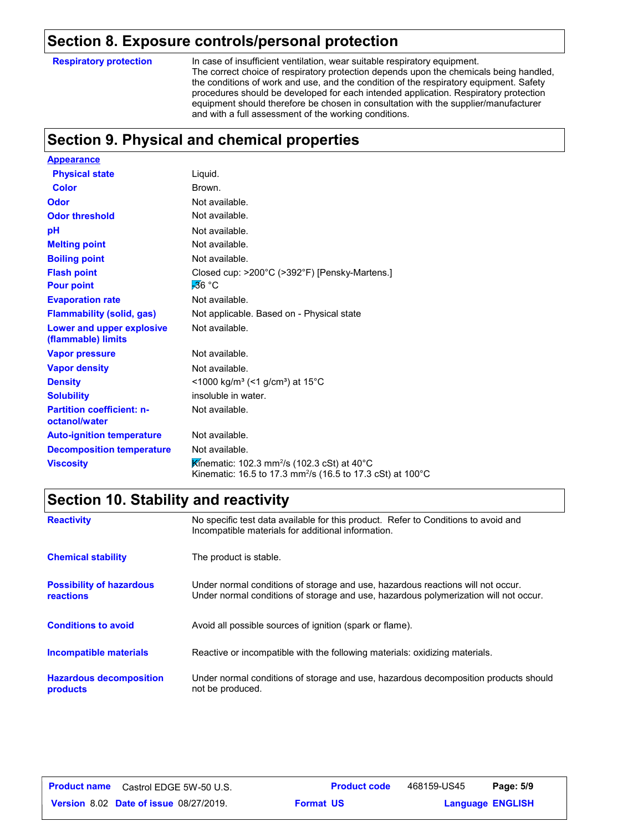## **Section 8. Exposure controls/personal protection**

**Respiratory protection**

In case of insufficient ventilation, wear suitable respiratory equipment. The correct choice of respiratory protection depends upon the chemicals being handled, the conditions of work and use, and the condition of the respiratory equipment. Safety procedures should be developed for each intended application. Respiratory protection equipment should therefore be chosen in consultation with the supplier/manufacturer and with a full assessment of the working conditions.

## **Section 9. Physical and chemical properties**

| <b>Appearance</b>                                 |                                                                                                                                                |
|---------------------------------------------------|------------------------------------------------------------------------------------------------------------------------------------------------|
| <b>Physical state</b>                             | Liquid.                                                                                                                                        |
| <b>Color</b>                                      | Brown.                                                                                                                                         |
| Odor                                              | Not available.                                                                                                                                 |
| <b>Odor threshold</b>                             | Not available.                                                                                                                                 |
| рH                                                | Not available.                                                                                                                                 |
| <b>Melting point</b>                              | Not available.                                                                                                                                 |
| <b>Boiling point</b>                              | Not available.                                                                                                                                 |
| <b>Flash point</b>                                | Closed cup: >200°C (>392°F) [Pensky-Martens.]                                                                                                  |
| <b>Pour point</b>                                 | -36 °C                                                                                                                                         |
| <b>Evaporation rate</b>                           | Not available.                                                                                                                                 |
| <b>Flammability (solid, gas)</b>                  | Not applicable. Based on - Physical state                                                                                                      |
| Lower and upper explosive<br>(flammable) limits   | Not available.                                                                                                                                 |
| <b>Vapor pressure</b>                             | Not available.                                                                                                                                 |
| <b>Vapor density</b>                              | Not available.                                                                                                                                 |
| <b>Density</b>                                    | <1000 kg/m <sup>3</sup> (<1 g/cm <sup>3</sup> ) at 15 <sup>°</sup> C                                                                           |
| <b>Solubility</b>                                 | insoluble in water.                                                                                                                            |
| <b>Partition coefficient: n-</b><br>octanol/water | Not available.                                                                                                                                 |
| <b>Auto-ignition temperature</b>                  | Not available.                                                                                                                                 |
| <b>Decomposition temperature</b>                  | Not available.                                                                                                                                 |
| <b>Viscosity</b>                                  | Kinematic: 102.3 mm <sup>2</sup> /s (102.3 cSt) at 40°C<br>Kinematic: 16.5 to 17.3 mm <sup>2</sup> /s (16.5 to 17.3 cSt) at 100 <sup>°</sup> C |

## **Section 10. Stability and reactivity**

| <b>Reactivity</b>                                   | No specific test data available for this product. Refer to Conditions to avoid and<br>Incompatible materials for additional information.                                |
|-----------------------------------------------------|-------------------------------------------------------------------------------------------------------------------------------------------------------------------------|
| <b>Chemical stability</b>                           | The product is stable.                                                                                                                                                  |
| <b>Possibility of hazardous</b><br><b>reactions</b> | Under normal conditions of storage and use, hazardous reactions will not occur.<br>Under normal conditions of storage and use, hazardous polymerization will not occur. |
| <b>Conditions to avoid</b>                          | Avoid all possible sources of ignition (spark or flame).                                                                                                                |
| <b>Incompatible materials</b>                       | Reactive or incompatible with the following materials: oxidizing materials.                                                                                             |
| <b>Hazardous decomposition</b><br><b>products</b>   | Under normal conditions of storage and use, hazardous decomposition products should<br>not be produced.                                                                 |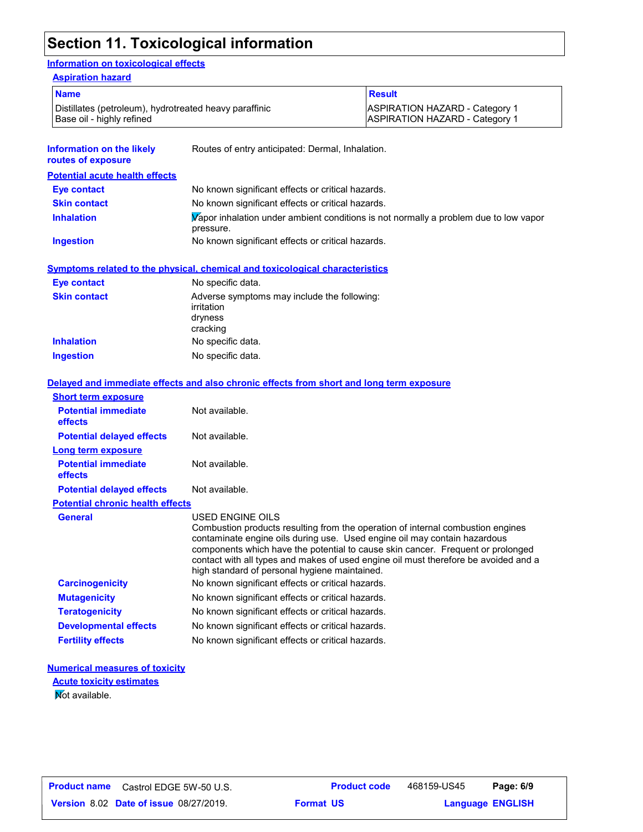## **Section 11. Toxicological information**

#### **Information on toxicological effects**

| <b>Aspiration hazard</b>                                                            |                                                   |                                                                                |  |
|-------------------------------------------------------------------------------------|---------------------------------------------------|--------------------------------------------------------------------------------|--|
| <b>Name</b>                                                                         |                                                   | <b>Result</b>                                                                  |  |
| Distillates (petroleum), hydrotreated heavy paraffinic<br>Base oil - highly refined |                                                   | <b>ASPIRATION HAZARD - Category 1</b><br><b>ASPIRATION HAZARD - Category 1</b> |  |
| Information on the likely<br>routes of exposure                                     | Routes of entry anticipated: Dermal, Inhalation.  |                                                                                |  |
| <b>Potential acute health effects</b>                                               |                                                   |                                                                                |  |
| Eye contact                                                                         | No known significant effects or critical hazards. |                                                                                |  |

| $-10$ vertices.     | <b>TYO INTOWN DIGHTHOOIR CHOOLD OF OHNOW HOLLOW.</b>                                              |
|---------------------|---------------------------------------------------------------------------------------------------|
| <b>Skin contact</b> | No known significant effects or critical hazards.                                                 |
| <b>Inhalation</b>   | Vapor inhalation under ambient conditions is not normally a problem due to low vapor<br>pressure. |
| Ingestion           | No known significant effects or critical hazards.                                                 |

**Symptoms related to the physical, chemical and toxicological characteristics**

| <b>Eye contact</b>  | No specific data.                                                                |
|---------------------|----------------------------------------------------------------------------------|
| <b>Skin contact</b> | Adverse symptoms may include the following:<br>irritation<br>dryness<br>cracking |
| <b>Inhalation</b>   | No specific data.                                                                |
| <b>Ingestion</b>    | No specific data.                                                                |

|                                         | Delayed and immediate effects and also chronic effects from short and long term exposure                                                                                                                                                                                                                                                                                                                    |
|-----------------------------------------|-------------------------------------------------------------------------------------------------------------------------------------------------------------------------------------------------------------------------------------------------------------------------------------------------------------------------------------------------------------------------------------------------------------|
| <b>Short term exposure</b>              |                                                                                                                                                                                                                                                                                                                                                                                                             |
| <b>Potential immediate</b><br>effects   | Not available.                                                                                                                                                                                                                                                                                                                                                                                              |
| <b>Potential delayed effects</b>        | Not available.                                                                                                                                                                                                                                                                                                                                                                                              |
| <b>Long term exposure</b>               |                                                                                                                                                                                                                                                                                                                                                                                                             |
| <b>Potential immediate</b><br>effects   | Not available.                                                                                                                                                                                                                                                                                                                                                                                              |
| <b>Potential delayed effects</b>        | Not available.                                                                                                                                                                                                                                                                                                                                                                                              |
| <b>Potential chronic health effects</b> |                                                                                                                                                                                                                                                                                                                                                                                                             |
| <b>General</b>                          | USED ENGINE OILS<br>Combustion products resulting from the operation of internal combustion engines<br>contaminate engine oils during use. Used engine oil may contain hazardous<br>components which have the potential to cause skin cancer. Frequent or prolonged<br>contact with all types and makes of used engine oil must therefore be avoided and a<br>high standard of personal hygiene maintained. |
| <b>Carcinogenicity</b>                  | No known significant effects or critical hazards.                                                                                                                                                                                                                                                                                                                                                           |
| <b>Mutagenicity</b>                     | No known significant effects or critical hazards.                                                                                                                                                                                                                                                                                                                                                           |
| <b>Teratogenicity</b>                   | No known significant effects or critical hazards.                                                                                                                                                                                                                                                                                                                                                           |
| <b>Developmental effects</b>            | No known significant effects or critical hazards.                                                                                                                                                                                                                                                                                                                                                           |
| <b>Fertility effects</b>                | No known significant effects or critical hazards.                                                                                                                                                                                                                                                                                                                                                           |

### **Numerical measures of toxicity**

Not available. **Acute toxicity estimates**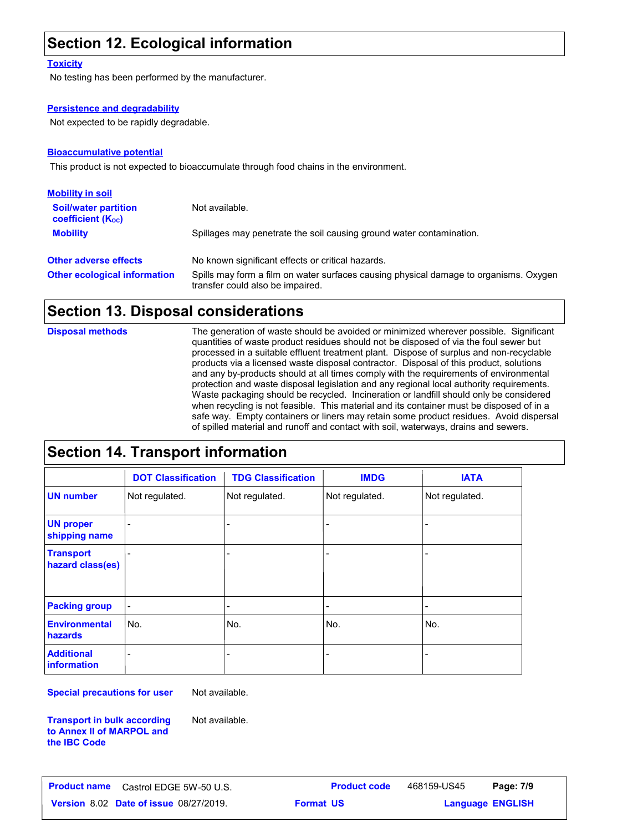## **Section 12. Ecological information**

#### **Toxicity**

No testing has been performed by the manufacturer.

#### **Persistence and degradability**

Not expected to be rapidly degradable.

#### **Bioaccumulative potential**

This product is not expected to bioaccumulate through food chains in the environment.

| <b>Mobility in soil</b>                                 |                                                                                                                           |
|---------------------------------------------------------|---------------------------------------------------------------------------------------------------------------------------|
| <b>Soil/water partition</b><br><b>coefficient (Koc)</b> | Not available.                                                                                                            |
| <b>Mobility</b>                                         | Spillages may penetrate the soil causing ground water contamination.                                                      |
| <b>Other adverse effects</b>                            | No known significant effects or critical hazards.                                                                         |
| <b>Other ecological information</b>                     | Spills may form a film on water surfaces causing physical damage to organisms. Oxygen<br>transfer could also be impaired. |

#### **Section 13. Disposal considerations**

The generation of waste should be avoided or minimized wherever possible. Significant quantities of waste product residues should not be disposed of via the foul sewer but processed in a suitable effluent treatment plant. Dispose of surplus and non-recyclable products via a licensed waste disposal contractor. Disposal of this product, solutions and any by-products should at all times comply with the requirements of environmental protection and waste disposal legislation and any regional local authority requirements. Waste packaging should be recycled. Incineration or landfill should only be considered when recycling is not feasible. This material and its container must be disposed of in a safe way. Empty containers or liners may retain some product residues. Avoid dispersal of spilled material and runoff and contact with soil, waterways, drains and sewers. **Disposal methods**

## **Section 14. Transport information**

|                                         | <b>DOT Classification</b> | <b>TDG Classification</b>    | <b>IMDG</b>                  | <b>IATA</b>              |
|-----------------------------------------|---------------------------|------------------------------|------------------------------|--------------------------|
| <b>UN number</b>                        | Not regulated.            | Not regulated.               | Not regulated.               | Not regulated.           |
| <b>UN proper</b><br>shipping name       |                           |                              | $\overline{\phantom{a}}$     | $\overline{\phantom{a}}$ |
| <b>Transport</b><br>hazard class(es)    |                           |                              | ۰                            | ٠                        |
| <b>Packing group</b>                    | $\overline{\phantom{a}}$  | $\qquad \qquad \blacksquare$ | $\qquad \qquad \blacksquare$ | $\overline{\phantom{0}}$ |
| <b>Environmental</b><br>hazards         | lNo.                      | No.                          | No.                          | No.                      |
| <b>Additional</b><br><b>information</b> |                           | -                            | $\qquad \qquad \blacksquare$ |                          |

**Special precautions for user**

Not available.

Not available.

**Transport in bulk according to Annex II of MARPOL and the IBC Code**

**Date of issue** 08/27/2019. **Format US State of Language ENGLIS** 

**Product name** Castrol EDGE 5W-50 U.S. **Product code** 468159-US45 **Page: 7/9** 468159-US45

**Format US**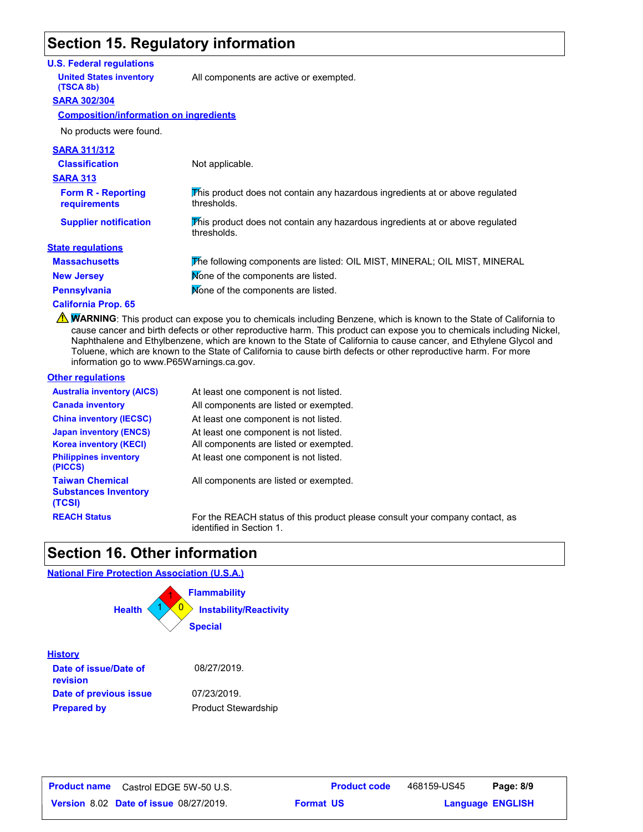## **Section 15. Regulatory information**

#### **U.S. Federal regulations**

**United States inventory** All components are active or exempted.

#### **SARA 302/304 (TSCA 8b)**

#### **Composition/information on ingredients**

No products were found.

| <b>SARA 311/312</b>                       |                                                                                              |
|-------------------------------------------|----------------------------------------------------------------------------------------------|
| <b>Classification</b>                     | Not applicable.                                                                              |
| <b>SARA 313</b>                           |                                                                                              |
| <b>Form R - Reporting</b><br>requirements | This product does not contain any hazardous ingredients at or above regulated<br>thresholds. |
| <b>Supplier notification</b>              | This product does not contain any hazardous ingredients at or above regulated<br>thresholds. |
| <b>State regulations</b>                  |                                                                                              |
| <b>Massachusetts</b>                      | The following components are listed: OIL MIST, MINERAL; OIL MIST, MINERAL                    |
| <b>New Jersey</b>                         | Mone of the components are listed.                                                           |
| <b>Pennsylvania</b>                       | Mone of the components are listed.                                                           |
| $\sim$ $\sim$ $\sim$ $\sim$ $\sim$        |                                                                                              |

#### **California Prop. 65**

**NARNING**: This product can expose you to chemicals including Benzene, which is known to the State of California to cause cancer and birth defects or other reproductive harm. This product can expose you to chemicals including Nickel, Naphthalene and Ethylbenzene, which are known to the State of California to cause cancer, and Ethylene Glycol and Toluene, which are known to the State of California to cause birth defects or other reproductive harm. For more information go to www.P65Warnings.ca.gov.

#### **Other regulations**

**History**

**revision**

**Prepared by**

| <b>Australia inventory (AICS)</b>                               | At least one component is not listed.                                                                    |
|-----------------------------------------------------------------|----------------------------------------------------------------------------------------------------------|
| <b>Canada inventory</b>                                         | All components are listed or exempted.                                                                   |
| <b>China inventory (IECSC)</b>                                  | At least one component is not listed.                                                                    |
| <b>Japan inventory (ENCS)</b><br><b>Korea inventory (KECI)</b>  | At least one component is not listed.<br>All components are listed or exempted.                          |
| <b>Philippines inventory</b><br>(PICCS)                         | At least one component is not listed.                                                                    |
| <b>Taiwan Chemical</b><br><b>Substances Inventory</b><br>(TCSI) | All components are listed or exempted.                                                                   |
| <b>REACH Status</b>                                             | For the REACH status of this product please consult your company contact, as<br>identified in Section 1. |

## **Section 16. Other information**

#### **National Fire Protection Association (U.S.A.)**



Product Stewardship

| <b>Product name</b> | Castrol EDGE 5W-50 U.S.                       |                  | <b>Product code</b> | 468159-US45             | Page: 8/9 |  |
|---------------------|-----------------------------------------------|------------------|---------------------|-------------------------|-----------|--|
|                     | <b>Version 8.02 Date of issue 08/27/2019.</b> | <b>Format US</b> |                     | <b>Language ENGLISH</b> |           |  |